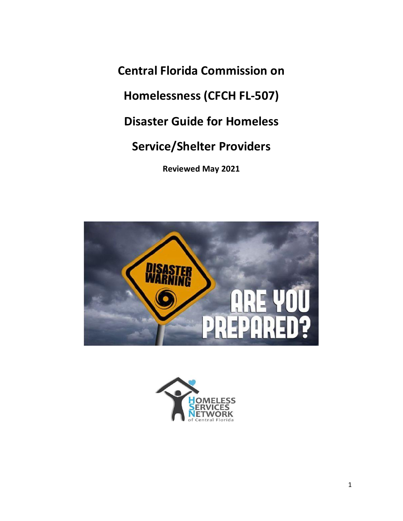**Central Florida Commission on Homelessness (CFCH FL-507) Disaster Guide for Homeless Service/Shelter Providers Reviewed May 2021**



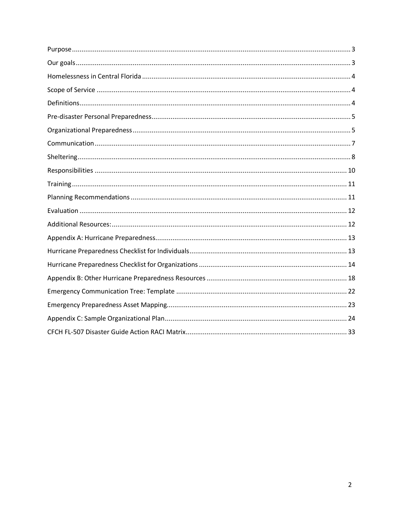<span id="page-1-0"></span>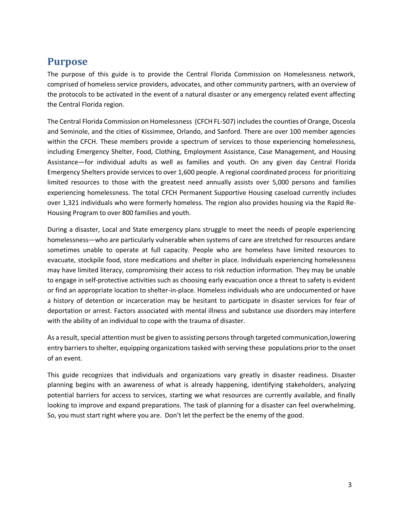# **Purpose**

The purpose of this guide is to provide the Central Florida Commission on Homelessness network, comprised of homeless service providers, advocates, and other community partners, with an overview of the protocols to be activated in the event of a natural disaster or any emergency related event affecting the Central Florida region.

The Central Florida Commission on Homelessness (CFCH FL-507) includes the counties of Orange, Osceola and Seminole, and the cities of Kissimmee, Orlando, and Sanford. There are over 100 member agencies within the CFCH. These members provide a spectrum of services to those experiencing homelessness, including Emergency Shelter, Food, Clothing, Employment Assistance, Case Management, and Housing Assistance—for individual adults as well as families and youth. On any given day Central Florida Emergency Shelters provide services to over 1,600 people. A regional coordinated process for prioritizing limited resources to those with the greatest need annually assists over 5,000 persons and families experiencing homelessness. The total CFCH Permanent Supportive Housing caseload currently includes over 1,321 individuals who were formerly homeless. The region also provides housing via the Rapid Re-Housing Program to over 800 families and youth.

During a disaster, Local and State emergency plans struggle to meet the needs of people experiencing homelessness—who are particularly vulnerable when systems of care are stretched for resources andare sometimes unable to operate at full capacity. People who are homeless have limited resources to evacuate, stockpile food, store medications and shelter in place. Individuals experiencing homelessness may have limited literacy, compromising their access to risk reduction information. They may be unable to engage in self-protective activities such as choosing early evacuation once a threat to safety is evident or find an appropriate location to shelter-in-place. Homeless individuals who are undocumented or have a history of detention or incarceration may be hesitant to participate in disaster services for fear of deportation or arrest. Factors associated with mental illness and substance use disorders may interfere with the ability of an individual to cope with the trauma of disaster.

As a result, special attention must be given to assisting persons through targeted communication, lowering entry barriers to shelter, equipping organizations tasked with serving these populations prior to the onset of an event.

<span id="page-2-0"></span>This guide recognizes that individuals and organizations vary greatly in disaster readiness. Disaster planning begins with an awareness of what is already happening, identifying stakeholders, analyzing potential barriers for access to services, starting we what resources are currently available, and finally looking to improve and expand preparations. The task of planning for a disaster can feel overwhelming. So, you must start right where you are. Don't let the perfect be the enemy of the good.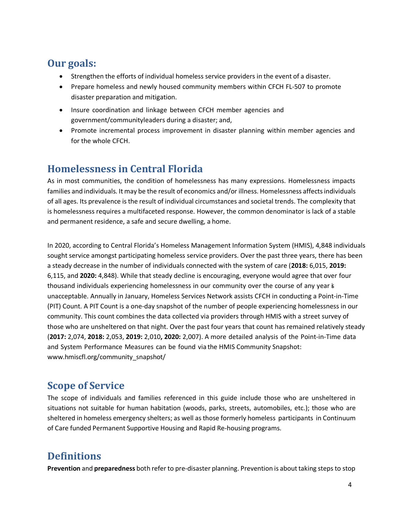# **Our goals:**

- Strengthen the efforts of individual homeless service providers in the event of a disaster.
- Prepare homeless and newly housed community members within CFCH FL-507 to promote disaster preparation and mitigation.
- Insure coordination and linkage between CFCH member agencies and government/communityleaders during a disaster; and,
- Promote incremental process improvement in disaster planning within member agencies and for the whole CFCH.

# <span id="page-3-0"></span>**Homelessness in Central Florida**

As in most communities, the condition of homelessness has many expressions. Homelessness impacts families and individuals. It may be the result of economics and/or illness. Homelessness affects individuals of all ages. Its prevalence is the result of individual circumstances and societal trends. The complexity that is homelessness requires a multifaceted response. However, the common denominator is lack of a stable and permanent residence, a safe and secure dwelling, a home.

In 2020, according to Central Florida's Homeless Management Information System (HMIS), 4,848 individuals sought service amongst participating homeless service providers. Over the past three years, there has been a steady decrease in the number of individuals connected with the system of care (**2018:** 6,015, **2019:**  6,115, and **2020:** 4,848). While that steady decline is encouraging, everyone would agree that over four thousand individuals experiencing homelessness in our community over the course of any year is unacceptable. Annually in January, Homeless Services Network assists CFCH in conducting a Point-in-Time (PIT) Count. A PIT Count is a one-day snapshot of the number of people experiencing homelessness in our community. This count combines the data collected via providers through HMIS with a street survey of those who are unsheltered on that night. Over the past four years that count has remained relatively steady (**2017:** 2,074, **2018:** 2,053, **2019:** 2,010**, 2020:** 2,007). A more detailed analysis of the Point-in-Time data and System Performance Measures can be found via the HMIS Community Snapshot: www.hmiscfl.org/community\_snapshot/

# <span id="page-3-1"></span>**Scope of Service**

The scope of individuals and families referenced in this guide include those who are unsheltered in situations not suitable for human habitation (woods, parks, streets, automobiles, etc.); those who are sheltered in homeless emergency shelters; as well as those formerly homeless participants in Continuum of Care funded Permanent Supportive Housing and Rapid Re-housing programs.

# <span id="page-3-2"></span>**Definitions**

**Prevention** and **preparedness** both refer to pre-disaster planning. Prevention is about taking steps to stop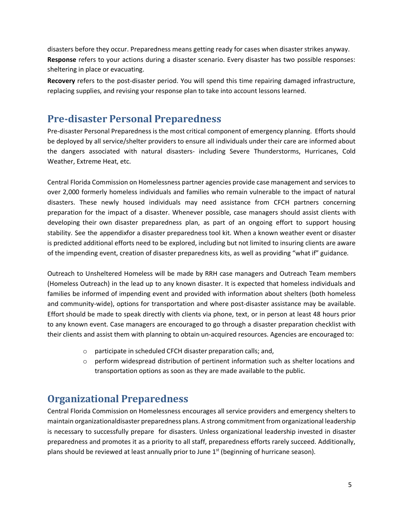disasters before they occur. Preparedness means getting ready for cases when disaster strikes anyway. **Response** refers to your actions during a disaster scenario. Every disaster has two possible responses: sheltering in place or evacuating.

**Recovery** refers to the post-disaster period. You will spend this time repairing damaged infrastructure, replacing supplies, and revising your response plan to take into account lessons learned.

# <span id="page-4-0"></span>**Pre-disaster Personal Preparedness**

Pre-disaster Personal Preparedness is the most critical component of emergency planning. Efforts should be deployed by all service/shelter providers to ensure all individuals under their care are informed about the dangers associated with natural disasters- including Severe Thunderstorms, Hurricanes, Cold Weather, Extreme Heat, etc.

Central Florida Commission on Homelessness partner agencies provide case management and services to over 2,000 formerly homeless individuals and families who remain vulnerable to the impact of natural disasters. These newly housed individuals may need assistance from CFCH partners concerning preparation for the impact of a disaster. Whenever possible, case managers should assist clients with developing their own disaster preparedness plan, as part of an ongoing effort to support housing stability. See the appendixfor a disaster preparedness tool kit. When a known weather event or disaster is predicted additional efforts need to be explored, including but not limited to insuring clients are aware of the impending event, creation of disaster preparedness kits, as well as providing "what if" guidance.

Outreach to Unsheltered Homeless will be made by RRH case managers and Outreach Team members (Homeless Outreach) in the lead up to any known disaster. It is expected that homeless individuals and families be informed of impending event and provided with information about shelters (both homeless and community-wide), options for transportation and where post-disaster assistance may be available. Effort should be made to speak directly with clients via phone, text, or in person at least 48 hours prior to any known event. Case managers are encouraged to go through a disaster preparation checklist with their clients and assist them with planning to obtain un-acquired resources. Agencies are encouraged to:

- o participate in scheduled CFCH disaster preparation calls; and,
- o perform widespread distribution of pertinent information such as shelter locations and transportation options as soon as they are made available to the public.

# <span id="page-4-1"></span>**Organizational Preparedness**

Central Florida Commission on Homelessness encourages all service providers and emergency shelters to maintain organizationaldisaster preparedness plans. A strong commitment from organizational leadership is necessary to successfully prepare for disasters. Unless organizational leadership invested in disaster preparedness and promotes it as a priority to all staff, preparedness efforts rarely succeed. Additionally, plans should be reviewed at least annually prior to June 1<sup>st</sup> (beginning of hurricane season).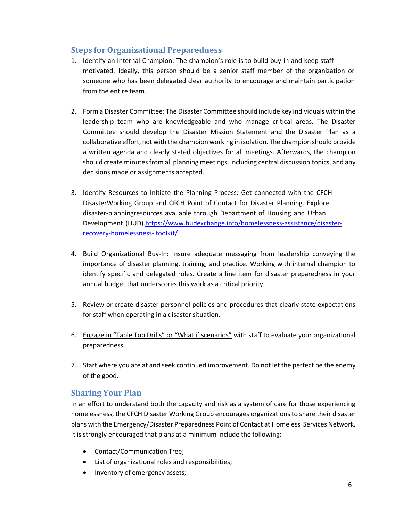# **Steps for Organizational Preparedness**

- 1. Identify an Internal Champion: The champion's role is to build buy-in and keep staff motivated. Ideally, this person should be a senior staff member of the organization or someone who has been delegated clear authority to encourage and maintain participation from the entire team.
- 2. Form a Disaster Committee: The Disaster Committee should include key individuals within the leadership team who are knowledgeable and who manage critical areas. The Disaster Committee should develop the Disaster Mission Statement and the Disaster Plan as a collaborative effort, not with the champion working in isolation. The champion should provide a written agenda and clearly stated objectives for all meetings. Afterwards, the champion should create minutes from all planning meetings, including central discussion topics, and any decisions made or assignments accepted.
- 3. Identify Resources to Initiate the Planning Process: Get connected with the CFCH DisasterWorking Group and CFCH Point of Contact for Disaster Planning. Explore disaster-planningresources available through Department of Housing and Urban Development (HUD)[.https://www.hudexchange.info/homelessness-assistance/disaster](https://www.hudexchange.info/homelessness-assistance/disaster-recovery-homelessness-toolkit/)[recovery-homelessness-](https://www.hudexchange.info/homelessness-assistance/disaster-recovery-homelessness-toolkit/) [toolkit/](https://www.hudexchange.info/homelessness-assistance/disaster-recovery-homelessness-toolkit/)
- 4. Build Organizational Buy-In: Insure adequate messaging from leadership conveying the importance of disaster planning, training, and practice. Working with internal champion to identify specific and delegated roles. Create a line item for disaster preparedness in your annual budget that underscores this work as a critical priority.
- 5. Review or create disaster personnel policies and procedures that clearly state expectations for staff when operating in a disaster situation.
- 6. Engage in "Table Top Drills" or "What if scenarios" with staff to evaluate your organizational preparedness.
- 7. Start where you are at and seek continued improvement. Do not let the perfect be the enemy of the good.

### **Sharing Your Plan**

In an effort to understand both the capacity and risk as a system of care for those experiencing homelessness, the CFCH Disaster Working Group encourages organizations to share their disaster plans with the Emergency/Disaster Preparedness Point of Contact at Homeless Services Network. It is strongly encouraged that plans at a minimum include the following:

- Contact/Communication Tree;
- List of organizational roles and responsibilities;
- Inventory of emergency assets;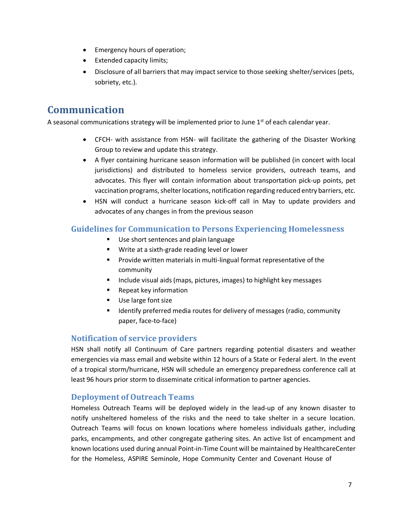- Emergency hours of operation;
- Extended capacity limits;
- Disclosure of all barriers that may impact service to those seeking shelter/services (pets, sobriety, etc.).

# <span id="page-6-0"></span>**Communication**

A seasonal communications strategy will be implemented prior to June  $1<sup>st</sup>$  of each calendar year.

- CFCH- with assistance from HSN- will facilitate the gathering of the Disaster Working Group to review and update this strategy.
- A flyer containing hurricane season information will be published (in concert with local jurisdictions) and distributed to homeless service providers, outreach teams, and advocates. This flyer will contain information about transportation pick-up points, pet vaccination programs, shelter locations, notification regarding reduced entry barriers, etc.
- HSN will conduct a hurricane season kick-off call in May to update providers and advocates of any changes in from the previous season

### **Guidelines for Communication to Persons Experiencing Homelessness**

- Use short sentences and plain language
- Write at a sixth-grade reading level or lower
- Provide written materials in multi-lingual format representative of the community
- Include visual aids (maps, pictures, images) to highlight key messages
- Repeat key information
- Use large font size
- Identify preferred media routes for delivery of messages (radio, community paper, face-to-face)

### **Notification of service providers**

HSN shall notify all Continuum of Care partners regarding potential disasters and weather emergencies via mass email and website within 12 hours of a State or Federal alert. In the event of a tropical storm/hurricane, HSN will schedule an emergency preparedness conference call at least 96 hours prior storm to disseminate critical information to partner agencies.

### **Deployment of Outreach Teams**

Homeless Outreach Teams will be deployed widely in the lead-up of any known disaster to notify unsheltered homeless of the risks and the need to take shelter in a secure location. Outreach Teams will focus on known locations where homeless individuals gather, including parks, encampments, and other congregate gathering sites. An active list of encampment and known locations used during annual Point-in-Time Count will be maintained by HealthcareCenter for the Homeless, ASPIRE Seminole, Hope Community Center and Covenant House of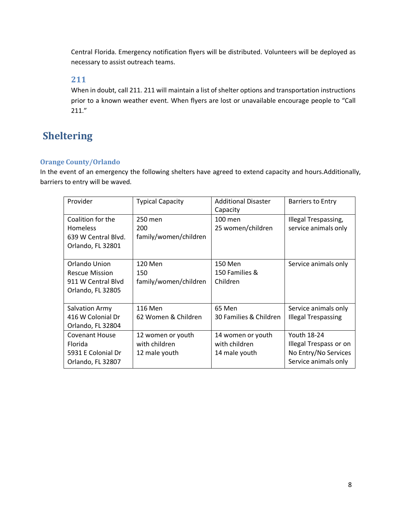Central Florida. Emergency notification flyers will be distributed. Volunteers will be deployed as necessary to assist outreach teams.

### **211**

When in doubt, call 211. 211 will maintain a list of shelter options and transportation instructions prior to a known weather event. When flyers are lost or unavailable encourage people to "Call 211."

# <span id="page-7-0"></span>**Sheltering**

### **Orange County/Orlando**

In the event of an emergency the following shelters have agreed to extend capacity and hours.Additionally, barriers to entry will be waved.

| Provider                                                                           | <b>Typical Capacity</b>                             | <b>Additional Disaster</b><br>Capacity              | <b>Barriers to Entry</b>                                                              |
|------------------------------------------------------------------------------------|-----------------------------------------------------|-----------------------------------------------------|---------------------------------------------------------------------------------------|
| Coalition for the<br><b>Homeless</b><br>639 W Central Blvd.<br>Orlando, FL 32801   | 250 men<br>200<br>family/women/children             | 100 men<br>25 women/children                        | Illegal Trespassing,<br>service animals only                                          |
| Orlando Union<br><b>Rescue Mission</b><br>911 W Central Blyd<br>Orlando, FL 32805  | 120 Men<br>150<br>family/women/children             | 150 Men<br>150 Families &<br>Children               | Service animals only                                                                  |
| Salvation Army<br>416 W Colonial Dr<br>Orlando, FL 32804                           | 116 Men<br>62 Women & Children                      | 65 Men<br>30 Families & Children                    | Service animals only<br><b>Illegal Trespassing</b>                                    |
| <b>Covenant House</b><br><b>Florida</b><br>5931 E Colonial Dr<br>Orlando, FL 32807 | 12 women or youth<br>with children<br>12 male youth | 14 women or youth<br>with children<br>14 male youth | Youth 18-24<br>Illegal Trespass or on<br>No Entry/No Services<br>Service animals only |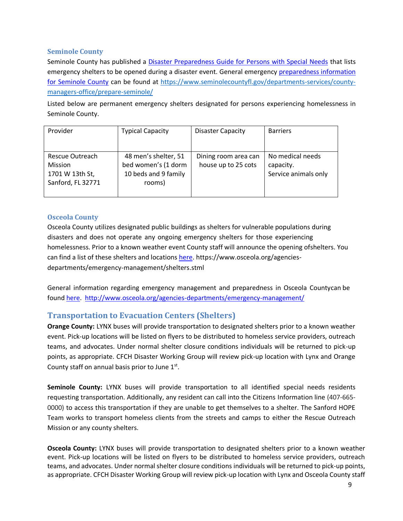### **Seminole County**

Seminole County has published a [Disaster Preparedness Guide for Persons with Special Needs](https://www.seminolecountyfl.gov/core/fileparse.php/4367/urlt/SpecialNeedsDisasterGuide.pdf) that lists emergency shelters to be opened during a disaster event. General emergency [preparedness information](https://www.seminolecountyfl.gov/departments-services/county-managers-office/prepare-seminole/)  [for Seminole County](https://www.seminolecountyfl.gov/departments-services/county-managers-office/prepare-seminole/) can be found at [https://www.seminolecountyfl.gov/departments-services/county](https://www.seminolecountyfl.gov/departments-services/county-managers-office/prepare-seminole/)[managers-office/prepare-seminole/](https://www.seminolecountyfl.gov/departments-services/county-managers-office/prepare-seminole/)

Listed below are permanent emergency shelters designated for persons experiencing homelessness in Seminole County.

| Provider                                                                  | <b>Typical Capacity</b>                                                       | <b>Disaster Capacity</b>                    | <b>Barriers</b>                                       |
|---------------------------------------------------------------------------|-------------------------------------------------------------------------------|---------------------------------------------|-------------------------------------------------------|
| Rescue Outreach<br><b>Mission</b><br>1701 W 13th St,<br>Sanford, FL 32771 | 48 men's shelter, 51<br>bed women's (1 dorm<br>10 beds and 9 family<br>rooms) | Dining room area can<br>house up to 25 cots | No medical needs<br>capacity.<br>Service animals only |

### **Osceola County**

Osceola County utilizes designated public buildings as shelters for vulnerable populations during disasters and does not operate any ongoing emergency shelters for those experiencing homelessness. Prior to a known weather event County staff will announce the opening ofshelters. You can find a list of these shelters and locations [here.](https://www.osceola.org/agencies-departments/emergency-management/shelters.stml) https://www.osceola.org/agenciesdepartments/emergency-management/shelters.stml

General information regarding emergency management and preparedness in Osceola Countycan be found [here.](http://www.osceola.org/agencies-departments/emergency-management/) <http://www.osceola.org/agencies-departments/emergency-management/>

### **Transportation to Evacuation Centers (Shelters)**

**Orange County:** LYNX buses will provide transportation to designated shelters prior to a known weather event. Pick-up locations will be listed on flyers to be distributed to homeless service providers, outreach teams, and advocates. Under normal shelter closure conditions individuals will be returned to pick-up points, as appropriate. CFCH Disaster Working Group will review pick-up location with Lynx and Orange County staff on annual basis prior to June  $1<sup>st</sup>$ .

**Seminole County:** LYNX buses will provide transportation to all identified special needs residents requesting transportation. Additionally, any resident can call into the Citizens Information line (407-665- 0000) to access this transportation if they are unable to get themselves to a shelter. The Sanford HOPE Team works to transport homeless clients from the streets and camps to either the Rescue Outreach Mission or any county shelters.

**Osceola County:** LYNX buses will provide transportation to designated shelters prior to a known weather event. Pick-up locations will be listed on flyers to be distributed to homeless service providers, outreach teams, and advocates. Under normal shelter closure conditions individuals will be returned to pick-up points, as appropriate. CFCH Disaster Working Group will review pick-up location with Lynx and Osceola County staff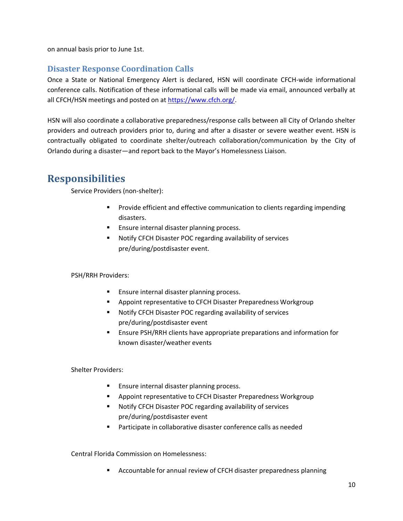on annual basis prior to June 1st.

### **Disaster Response Coordination Calls**

Once a State or National Emergency Alert is declared, HSN will coordinate CFCH-wide informational conference calls. Notification of these informational calls will be made via email, announced verbally at all CFCH/HSN meetings and posted on at [https://www.cfch.org/.](http://www.centralfloridacoc.org/)

HSN will also coordinate a collaborative preparedness/response calls between all City of Orlando shelter providers and outreach providers prior to, during and after a disaster or severe weather event. HSN is contractually obligated to coordinate shelter/outreach collaboration/communication by the City of Orlando during a disaster—and report back to the Mayor's Homelessness Liaison.

# <span id="page-9-0"></span>**Responsibilities**

Service Providers (non-shelter):

- Provide efficient and effective communication to clients regarding impending disasters.
- Ensure internal disaster planning process.
- Notify CFCH Disaster POC regarding availability of services pre/during/postdisaster event.

PSH/RRH Providers:

- Ensure internal disaster planning process.
- Appoint representative to CFCH Disaster Preparedness Workgroup
- Notify CFCH Disaster POC regarding availability of services pre/during/postdisaster event
- Ensure PSH/RRH clients have appropriate preparations and information for known disaster/weather events

Shelter Providers:

- Ensure internal disaster planning process.
- Appoint representative to CFCH Disaster Preparedness Workgroup
- Notify CFCH Disaster POC regarding availability of services pre/during/postdisaster event
- Participate in collaborative disaster conference calls as needed

Central Florida Commission on Homelessness:

■ Accountable for annual review of CFCH disaster preparedness planning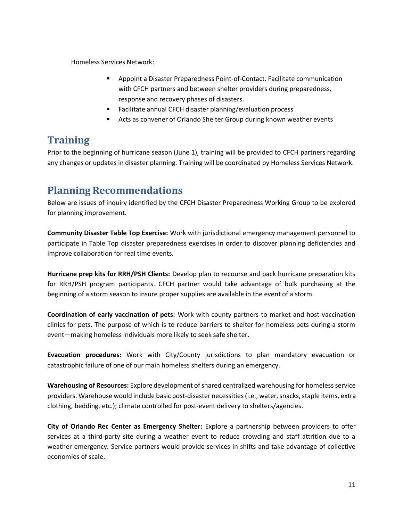Homeless Services Network:

- Appoint a Disaster Preparedness Point-of-Contact. Facilitate communication with CFCH partners and between shelter providers during preparedness, response and recovery phases of disasters.
- Facilitate annual CFCH disaster planning/evaluation process
- Acts as convener of Orlando Shelter Group during known weather events

# **Training**

<span id="page-10-0"></span>Prior to the beginning of hurricane season (June 1), training will be provided to CFCH partners regarding any changes or updates in disaster planning. Training will be coordinated by Homeless Services Network.

# <span id="page-10-1"></span>**Planning Recommendations**

Below are issues of inquiry identified by the CFCH Disaster Preparedness Working Group to be explored for planning improvement.

**Community Disaster Table Top Exercise:** Work with jurisdictional emergency management personnel to participate in Table Top disaster preparedness exercises in order to discover planning deficiencies and improve collaboration for real time events.

**Hurricane prep kits for RRH/PSH Clients:** Develop plan to recourse and pack hurricane preparation kits for RRH/PSH program participants. CFCH partner would take advantage of bulk purchasing at the beginning of a storm season to insure proper supplies are available in the event of a storm.

**Coordination of early vaccination of pets:** Work with county partners to market and host vaccination clinics for pets. The purpose of which is to reduce barriers to shelter for homeless pets during a storm event—making homeless individuals more likely to seek safe shelter.

**Evacuation procedures:** Work with City/County jurisdictions to plan mandatory evacuation or catastrophic failure of one of our main homeless shelters during an emergency.

**Warehousing of Resources:** Explore development of shared centralized warehousing for homeless service providers. Warehouse would include basic post-disaster necessities (i.e., water, snacks, staple items, extra clothing, bedding, etc.); climate controlled for post-event delivery to shelters/agencies.

**City of Orlando Rec Center as Emergency Shelter:** Explore a partnership between providers to offer services at a third-party site during a weather event to reduce crowding and staff attrition due to a weather emergency. Service partners would provide services in shifts and take advantage of collective economies of scale.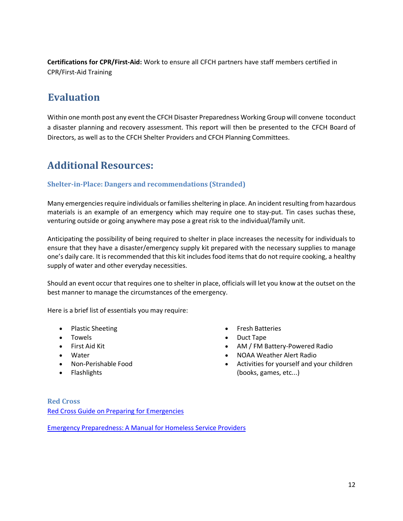**Certifications for CPR/First-Aid:** Work to ensure all CFCH partners have staff members certified in CPR/First-Aid Training

# <span id="page-11-0"></span>**Evaluation**

Within one month post any event the CFCH Disaster Preparedness Working Group will convene toconduct a disaster planning and recovery assessment. This report will then be presented to the CFCH Board of Directors, as well as to the CFCH Shelter Providers and CFCH Planning Committees.

# <span id="page-11-1"></span>**Additional Resources:**

### **Shelter-in-Place: Dangers and recommendations (Stranded)**

Many emergencies require individuals or families sheltering in place. An incident resulting from hazardous materials is an example of an emergency which may require one to stay-put. Tin cases suchas these, venturing outside or going anywhere may pose a great risk to the individual/family unit.

Anticipating the possibility of being required to shelter in place increases the necessity for individuals to ensure that they have a disaster/emergency supply kit prepared with the necessary supplies to manage one's daily care. It is recommended that this kit includes food items that do not require cooking, a healthy supply of water and other everyday necessities.

Should an event occur that requires one to shelter in place, officials will let you know at the outset on the best manner to manage the circumstances of the emergency.

Here is a brief list of essentials you may require:

- Plastic Sheeting
- Towels
- First Aid Kit
- Water
- Non-Perishable Food
- Flashlights
- Fresh Batteries
- Duct Tape
- AM / FM Battery-Powered Radio
- NOAA Weather Alert Radio
- Activities for yourself and your children (books, games, etc...)

**Red Cross** Red Cross Guide on Preparing [for Emergencies](http://www.redcross.org/get-help/how-to-prepare-for-emergencies/types-of-emergencies)

Emergency [Preparedness:](https://scholarworks.umb.edu/csp_pubs/30/) A Manual for Homeless Service Providers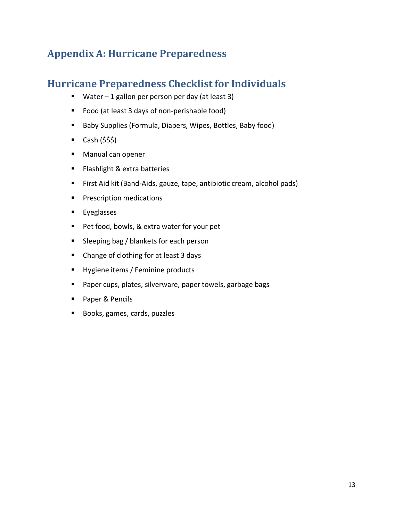# <span id="page-12-0"></span>**Appendix A: Hurricane Preparedness**

# <span id="page-12-1"></span>**Hurricane Preparedness Checklist for Individuals**

- Water 1 gallon per person per day (at least 3)
- Food (at least 3 days of non-perishable food)
- Baby Supplies (Formula, Diapers, Wipes, Bottles, Baby food)
- $\blacksquare$  Cash (\$\$\$)
- Manual can opener
- Flashlight & extra batteries
- First Aid kit (Band-Aids, gauze, tape, antibiotic cream, alcohol pads)
- **•** Prescription medications
- Eyeglasses
- Pet food, bowls, & extra water for your pet
- Sleeping bag / blankets for each person
- Change of clothing for at least 3 days
- Hygiene items / Feminine products
- Paper cups, plates, silverware, paper towels, garbage bags
- Paper & Pencils
- Books, games, cards, puzzles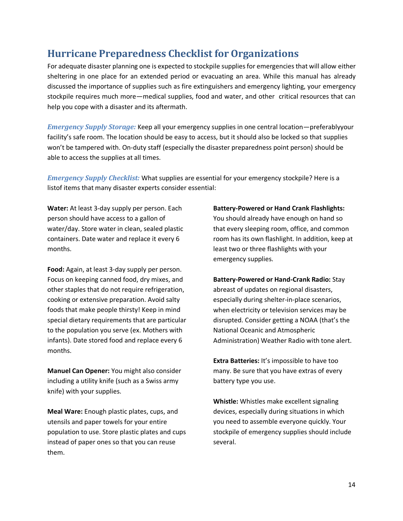# <span id="page-13-0"></span>**Hurricane Preparedness Checklist for Organizations**

For adequate disaster planning one is expected to stockpile supplies for emergencies that will allow either sheltering in one place for an extended period or evacuating an area. While this manual has already discussed the importance of supplies such as fire extinguishers and emergency lighting, your emergency stockpile requires much more—medical supplies, food and water, and other critical resources that can help you cope with a disaster and its aftermath.

*Emergency Supply Storage:* Keep all your emergency supplies in one central location—preferablyyour facility's safe room. The location should be easy to access, but it should also be locked so that supplies won't be tampered with. On-duty staff (especially the disaster preparedness point person) should be able to access the supplies at all times.

*Emergency Supply Checklist:* What supplies are essential for your emergency stockpile? Here is a listof items that many disaster experts consider essential:

**Water:** At least 3-day supply per person. Each person should have access to a gallon of water/day. Store water in clean, sealed plastic containers. Date water and replace it every 6 months.

**Food:** Again, at least 3-day supply per person. Focus on keeping canned food, dry mixes, and other staples that do not require refrigeration, cooking or extensive preparation. Avoid salty foods that make people thirsty! Keep in mind special dietary requirements that are particular to the population you serve (ex. Mothers with infants). Date stored food and replace every 6 months.

**Manuel Can Opener:** You might also consider including a utility knife (such as a Swiss army knife) with your supplies.

**Meal Ware:** Enough plastic plates, cups, and utensils and paper towels for your entire population to use. Store plastic plates and cups instead of paper ones so that you can reuse them.

**Battery-Powered or Hand Crank Flashlights:** You should already have enough on hand so that every sleeping room, office, and common room has its own flashlight. In addition, keep at least two or three flashlights with your emergency supplies.

**Battery-Powered or Hand-Crank Radio:** Stay abreast of updates on regional disasters, especially during shelter-in-place scenarios, when electricity or television services may be disrupted. Consider getting a NOAA (that's the National Oceanic and Atmospheric Administration) Weather Radio with tone alert.

**Extra Batteries:** It's impossible to have too many. Be sure that you have extras of every battery type you use.

**Whistle:** Whistles make excellent signaling devices, especially during situations in which you need to assemble everyone quickly. Your stockpile of emergency supplies should include several.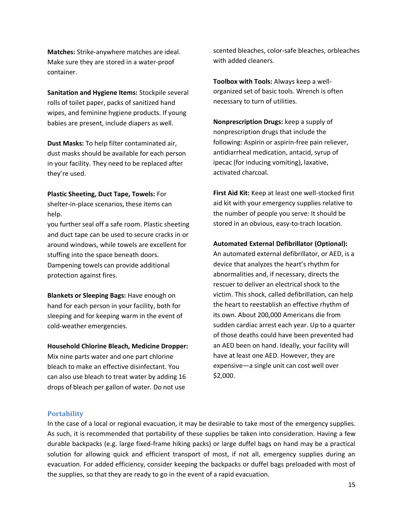**Matches:** Strike-anywhere matches are ideal. Make sure they are stored in a water-proof container.

**Sanitation and Hygiene Items:** Stockpile several rolls of toilet paper, packs of sanitized hand wipes, and feminine hygiene products. If young babies are present, include diapers as well.

**Dust Masks:** To help filter contaminated air, dust masks should be available for each person in your facility. They need to be replaced after they're used.

#### **Plastic Sheeting, Duct Tape, Towels:** For

shelter-in-place scenarios, these items can help.

you further seal off a safe room. Plastic sheeting and duct tape can be used to secure cracks in or around windows, while towels are excellent for stuffing into the space beneath doors. Dampening towels can provide additional protection against fires.

**Blankets or Sleeping Bags:** Have enough on hand for each person in your facility, both for sleeping and for keeping warm in the event of cold-weather emergencies.

#### **Household Chlorine Bleach, Medicine Dropper:**

Mix nine parts water and one part chlorine bleach to make an effective disinfectant. You can also use bleach to treat water by adding 16 drops of bleach per gallon of water. Do not use

scented bleaches, color-safe bleaches, orbleaches with added cleaners.

**Toolbox with Tools:** Always keep a wellorganized set of basic tools. Wrench is often necessary to turn of utilities.

**Nonprescription Drugs:** keep a supply of nonprescription drugs that include the following: Aspirin or aspirin-free pain reliever, antidiarrheal medication, antacid, syrup of ipecac (for inducing vomiting), laxative, activated charcoal.

**First Aid Kit:** Keep at least one well-stocked first aid kit with your emergency supplies relative to the number of people you serve: It should be stored in an obvious, easy-to-trach location.

#### **Automated External Defibrillator (Optional):**

An automated external defibrillator, or AED, is a device that analyzes the heart's rhythm for abnormalities and, if necessary, directs the rescuer to deliver an electrical shock to the victim. This shock, called defibrillation, can help the heart to reestablish an effective rhythm of its own. About 200,000 Americans die from sudden cardiac arrest each year. Up to a quarter of those deaths could have been prevented had an AED been on hand. Ideally, your facility will have at least one AED. However, they are expensive—a single unit can cost well over \$2,000.

#### **Portability**

In the case of a local or regional evacuation, it may be desirable to take most of the emergency supplies. As such, it is recommended that portability of these supplies be taken into consideration. Having a few durable backpacks (e.g. large fixed-frame hiking packs) or large duffel bags on hand may be a practical solution for allowing quick and efficient transport of most, if not all, emergency supplies during an evacuation. For added efficiency, consider keeping the backpacks or duffel bags preloaded with most of the supplies, so that they are ready to go in the event of a rapid evacuation.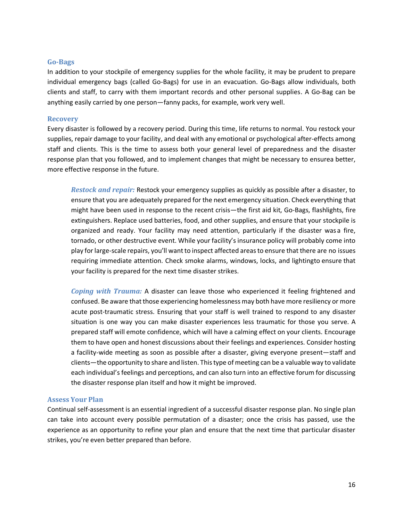#### **Go-Bags**

In addition to your stockpile of emergency supplies for the whole facility, it may be prudent to prepare individual emergency bags (called Go-Bags) for use in an evacuation. Go-Bags allow individuals, both clients and staff, to carry with them important records and other personal supplies. A Go-Bag can be anything easily carried by one person—fanny packs, for example, work very well.

#### **Recovery**

Every disaster is followed by a recovery period. During this time, life returns to normal. You restock your supplies, repair damage to your facility, and deal with any emotional or psychological after-effects among staff and clients. This is the time to assess both your general level of preparedness and the disaster response plan that you followed, and to implement changes that might be necessary to ensurea better, more effective response in the future.

*Restock and repair:* Restock your emergency supplies as quickly as possible after a disaster, to ensure that you are adequately prepared for the next emergency situation. Check everything that might have been used in response to the recent crisis—the first aid kit, Go-Bags, flashlights, fire extinguishers. Replace used batteries, food, and other supplies, and ensure that your stockpile is organized and ready. Your facility may need attention, particularly if the disaster was a fire, tornado, or other destructive event. While your facility's insurance policy will probably come into play for large-scale repairs, you'll want to inspect affected areas to ensure that there are no issues requiring immediate attention. Check smoke alarms, windows, locks, and lightingto ensure that your facility is prepared for the next time disaster strikes.

*Coping with Trauma:* A disaster can leave those who experienced it feeling frightened and confused. Be aware that those experiencing homelessness may both have more resiliency or more acute post-traumatic stress. Ensuring that your staff is well trained to respond to any disaster situation is one way you can make disaster experiences less traumatic for those you serve. A prepared staff will emote confidence, which will have a calming effect on your clients. Encourage them to have open and honest discussions about their feelings and experiences. Consider hosting a facility-wide meeting as soon as possible after a disaster, giving everyone present—staff and clients—the opportunity to share and listen. This type of meeting can be a valuable way to validate each individual's feelings and perceptions, and can also turn into an effective forum for discussing the disaster response plan itself and how it might be improved.

#### **Assess Your Plan**

Continual self-assessment is an essential ingredient of a successful disaster response plan. No single plan can take into account every possible permutation of a disaster; once the crisis has passed, use the experience as an opportunity to refine your plan and ensure that the next time that particular disaster strikes, you're even better prepared than before.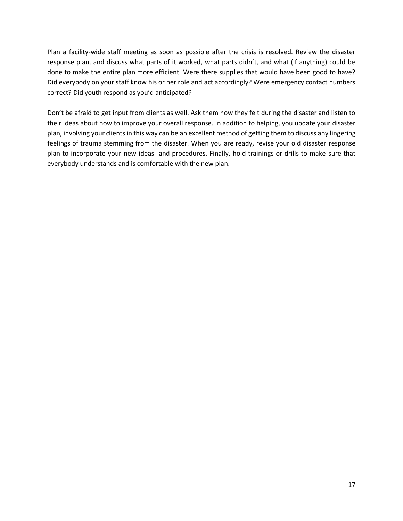Plan a facility-wide staff meeting as soon as possible after the crisis is resolved. Review the disaster response plan, and discuss what parts of it worked, what parts didn't, and what (if anything) could be done to make the entire plan more efficient. Were there supplies that would have been good to have? Did everybody on your staff know his or her role and act accordingly? Were emergency contact numbers correct? Did youth respond as you'd anticipated?

Don't be afraid to get input from clients as well. Ask them how they felt during the disaster and listen to their ideas about how to improve your overall response. In addition to helping, you update your disaster plan, involving your clients in this way can be an excellent method of getting them to discuss any lingering feelings of trauma stemming from the disaster. When you are ready, revise your old disaster response plan to incorporate your new ideas and procedures. Finally, hold trainings or drills to make sure that everybody understands and is comfortable with the new plan.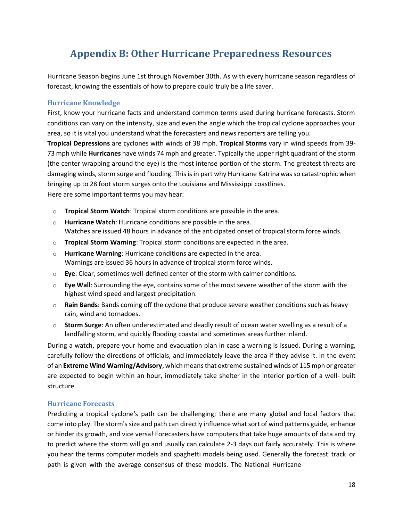# **Appendix B: Other Hurricane Preparedness Resources**

<span id="page-17-0"></span>Hurricane Season begins June 1st through November 30th. As with every hurricane season regardless of forecast, knowing the essentials of how to prepare could truly be a life saver.

### **Hurricane Knowledge**

First, know your hurricane facts and understand common terms used during hurricane forecasts. Storm conditions can vary on the intensity, size and even the angle which the tropical cyclone approaches your area, so it is vital you understand what the forecasters and news reporters are telling you.

**Tropical Depressions** are cyclones with winds of 38 mph. **Tropical Storms** vary in wind speeds from 39- 73 mph while **Hurricanes** have winds 74 mph and greater. Typically the upper right quadrant of the storm (the center wrapping around the eye) is the most intense portion of the storm. The greatest threats are damaging winds, storm surge and flooding. This is in part why Hurricane Katrina was so catastrophic when bringing up to 28 foot storm surges onto the Louisiana and Mississippi coastlines.

Here are some important terms you may hear:

- o **Tropical Storm Watch**: Tropical storm conditions are possible in the area.
- o **Hurricane Watch**: Hurricane conditions are possible in the area. Watches are issued 48 hours in advance of the anticipated onset of tropical storm force winds.
- o **Tropical Storm Warning**: Tropical storm conditions are expected in the area.
- o **Hurricane Warning**: Hurricane conditions are expected in the area. Warnings are issued 36 hours in advance of tropical storm force winds.
- o **Eye**: Clear, sometimes well-defined center of the storm with calmer conditions.
- o **Eye Wall**: Surrounding the eye, contains some of the most severe weather of the storm with the highest wind speed and largest precipitation.
- o **Rain Bands**: Bands coming off the cyclone that produce severe weather conditions such as heavy rain, wind and tornadoes.
- o **Storm Surge**: An often underestimated and deadly result of ocean water swelling as a result of a landfalling storm, and quickly flooding coastal and sometimes areas further inland.

During a watch, prepare your home and evacuation plan in case a warning is issued. During a warning, carefully follow the directions of officials, and immediately leave the area if they advise it. In the event of an **Extreme Wind Warning/Advisory**, which means that extreme sustained winds of 115 mph or greater are expected to begin within an hour, immediately take shelter in the interior portion of a well- built structure.

### **Hurricane Forecasts**

Predicting a tropical cyclone's path can be challenging; there are many global and local factors that come into play. The storm's size and path can directly influence what sort of wind patterns guide, enhance or hinder its growth, and vice versa! Forecasters have computers that take huge amounts of data and try to predict where the storm will go and usually can calculate 2-3 days out fairly accurately. This is where you hear the terms computer models and spaghetti models being used. Generally the forecast track or path is given with the average consensus of these models. The National Hurricane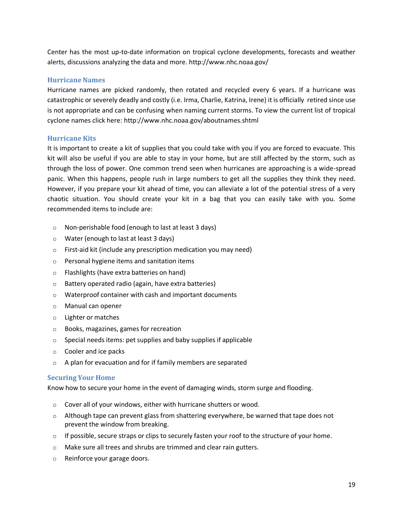Center has the most up-to-date information on tropical cyclone developments, forecasts and weather alerts, discussions analyzing the data and more. <http://www.nhc.noaa.gov/>

#### **Hurricane Names**

Hurricane names are picked randomly, then rotated and recycled every 6 years. If a hurricane was catastrophic or severely deadly and costly (i.e. Irma, Charlie, Katrina, Irene) it is officially retired since use is not appropriate and can be confusing when naming current storms. To view the current list of tropical cyclone names click here: <http://www.nhc.noaa.gov/aboutnames.shtml>

#### **Hurricane Kits**

It is important to create a kit of supplies that you could take with you if you are forced to evacuate. This kit will also be useful if you are able to stay in your home, but are still affected by the storm, such as through the loss of power. One common trend seen when hurricanes are approaching is a wide-spread panic. When this happens, people rush in large numbers to get all the supplies they think they need. However, if you prepare your kit ahead of time, you can alleviate a lot of the potential stress of a very chaotic situation. You should create your kit in a bag that you can easily take with you. Some recommended items to include are:

- o Non-perishable food (enough to last at least 3 days)
- o Water (enough to last at least 3 days)
- o First-aid kit (include any prescription medication you may need)
- o Personal hygiene items and sanitation items
- o Flashlights (have extra batteries on hand)
- o Battery operated radio (again, have extra batteries)
- o Waterproof container with cash and important documents
- o Manual can opener
- o Lighter or matches
- o Books, magazines, games for recreation
- $\circ$  Special needs items: pet supplies and baby supplies if applicable
- o Cooler and ice packs
- o A plan for evacuation and for if family members are separated

### **Securing Your Home**

Know how to secure your home in the event of damaging winds, storm surge and flooding.

- o Cover all of your windows, either with hurricane shutters or wood.
- $\circ$  Although tape can prevent glass from shattering everywhere, be warned that tape does not prevent the window from breaking.
- $\circ$  If possible, secure straps or clips to securely fasten your roof to the structure of your home.
- o Make sure all trees and shrubs are trimmed and clear rain gutters.
- o Reinforce your garage doors.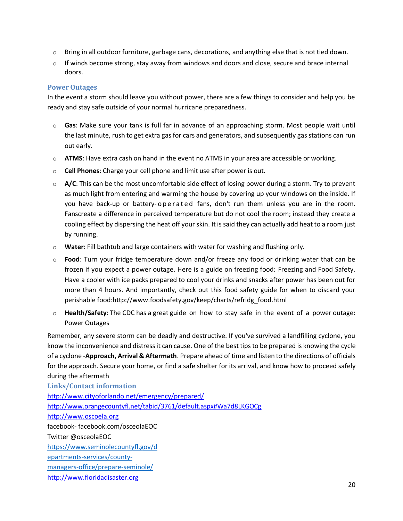- $\circ$  Bring in all outdoor furniture, garbage cans, decorations, and anything else that is not tied down.
- $\circ$  If winds become strong, stay away from windows and doors and close, secure and brace internal doors.

#### **Power Outages**

In the event a storm should leave you without power, there are a few things to consider and help you be ready and stay safe outside of your normal hurricane preparedness.

- o **Gas**: Make sure your tank is full far in advance of an approaching storm. Most people wait until the last minute, rush to get extra gas for cars and generators, and subsequently gas stations can run out early.
- o **ATMS**: Have extra cash on hand in the event no ATMS in your area are accessible or working.
- o **Cell Phones**: Charge your cell phone and limit use after power is out.
- o **A/C**: This can be the most uncomfortable side effect of losing power during a storm. Try to prevent as much light from entering and warming the house by covering up your windows on the inside. If you have back-up or battery-operated fans, don't run them unless you are in the room. Fanscreate a difference in perceived temperature but do not cool the room; instead they create a cooling effect by dispersing the heat off your skin. It is said they can actually add heat to a room just by running.
- o **Water**: Fill bathtub and large containers with water for washing and flushing only.
- o **Food**: Turn your fridge temperature down and/or freeze any food or drinking water that can be frozen if you expect a power outage. Here is a guide on freezing food: [Freezing and Food Safety.](http://www.fsis.usda.gov/wps/portal/fsis/topics/food-safety-education/get-answers/food-safety-fact-sheets/safe-food-handling/freezing-and-food-safety/CT_Index) Have a cooler with ice packs prepared to cool your drinks and snacks after power has been out for more than 4 hours. And importantly, check out this food safety guide for when to discard your perishable foo[d:http://www.foodsafety.gov/keep/charts/refridg\\_food.html](http://www.foodsafety.gov/keep/charts/refridg_food.html)
- o **Health/Safety**: The CDC has a great guide on how to stay safe in the event of a power outage: Power [Outages](http://emergency.cdc.gov/disasters/poweroutage/index.asp/)

Remember, any severe storm can be deadly and destructive. If you've survived a landfilling cyclone, you know the inconvenience and distress it can cause. One of the best tips to be prepared is knowing the cycle of a cyclone -**Approach, Arrival & Aftermath**. Prepare ahead of time and listen to the directions of officials for the approach. Secure your home, or find a safe shelter for its arrival, and know how to proceed safely during the aftermath

**Links/Contact information** <http://www.cityoforlando.net/emergency/prepared/> <http://www.orangecountyfl.net/tabid/3761/default.aspx#Wa7d8LKGOCg> [http://www.oscoela.org](http://www.oscoela.org/) facebook- facebook.com/osceolaEOC Twitter @osceolaEOC [https://www.seminolecountyfl.gov/d](https://www.seminolecountyfl.gov/departments-services/county-managers-office/prepare-seminole/) [epartments-services/county](https://www.seminolecountyfl.gov/departments-services/county-managers-office/prepare-seminole/)[managers-office/prepare-seminole/](https://www.seminolecountyfl.gov/departments-services/county-managers-office/prepare-seminole/) [http://www.floridadisaster.org](http://www.floridadisaster.org/)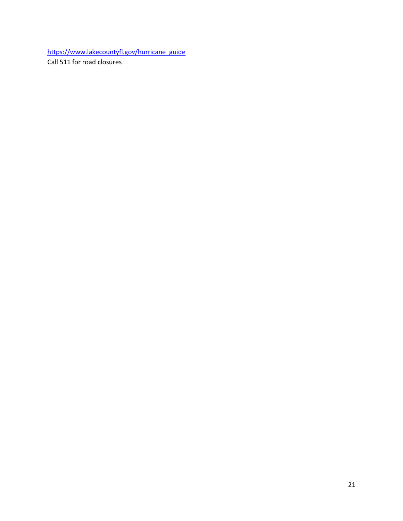[https://www.lakecountyfl.gov/hurricane\\_guide](https://www.lakecountyfl.gov/hurricane_guide) Call 511 for road closures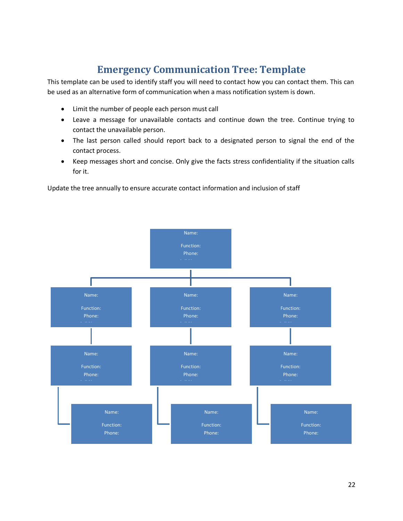# **Emergency Communication Tree: Template**

<span id="page-21-0"></span>This template can be used to identify staff you will need to contact how you can contact them. This can be used as an alternative form of communication when a mass notification system is down.

- Limit the number of people each person must call
- Leave a message for unavailable contacts and continue down the tree. Continue trying to contact the unavailable person.
- The last person called should report back to a designated person to signal the end of the contact process.
- Keep messages short and concise. Only give the facts stress confidentiality if the situation calls for it.

Update the tree annually to ensure accurate contact information and inclusion of staff

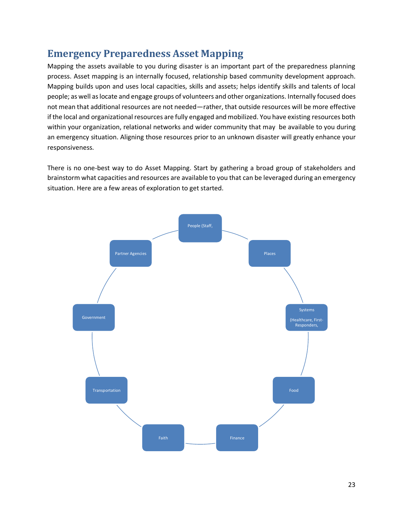# <span id="page-22-0"></span>**Emergency Preparedness Asset Mapping**

Mapping the assets available to you during disaster is an important part of the preparedness planning process. Asset mapping is an internally focused, relationship based community development approach. Mapping builds upon and uses local capacities, skills and assets; helps identify skills and talents of local people; as well as locate and engage groups of volunteers and other organizations. Internally focused does not mean that additional resources are not needed—rather, that outside resources will be more effective if the local and organizational resources are fully engaged and mobilized. You have existing resources both within your organization, relational networks and wider community that may be available to you during an emergency situation. Aligning those resources prior to an unknown disaster will greatly enhance your responsiveness.

There is no one-best way to do Asset Mapping. Start by gathering a broad group of stakeholders and brainstorm what capacities and resources are available to you that can be leveraged during an emergency situation. Here are a few areas of exploration to get started.

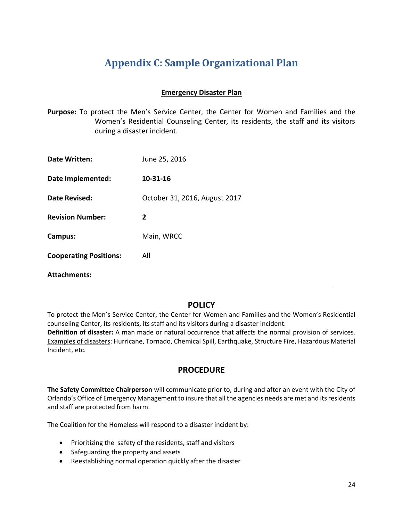# **Appendix C: Sample Organizational Plan**

### **Emergency Disaster Plan**

<span id="page-23-0"></span>**Purpose:** To protect the Men's Service Center, the Center for Women and Families and the Women's Residential Counseling Center, its residents, the staff and its visitors during a disaster incident.

| <b>Date Written:</b>          | June 25, 2016                 |
|-------------------------------|-------------------------------|
| <b>Date Implemented:</b>      | 10-31-16                      |
| Date Revised:                 | October 31, 2016, August 2017 |
| <b>Revision Number:</b>       | $\mathbf{2}$                  |
| Campus:                       | Main, WRCC                    |
| <b>Cooperating Positions:</b> | All                           |
| <b>Attachments:</b>           |                               |

# **POLICY**

To protect the Men's Service Center, the Center for Women and Families and the Women's Residential counseling Center, its residents, its staff and its visitors during a disaster incident. **Definition of disaster:** A man made or natural occurrence that affects the normal provision of services. Examples of disasters: Hurricane, Tornado, Chemical Spill, Earthquake, Structure Fire, Hazardous Material Incident, etc.

### **PROCEDURE**

**The Safety Committee Chairperson** will communicate prior to, during and after an event with the City of Orlando's Office of Emergency Management to insure that all the agencies needs are met and itsresidents and staff are protected from harm.

The Coalition for the Homeless will respond to a disaster incident by:

- Prioritizing the safety of the residents, staff and visitors
- Safeguarding the property and assets
- Reestablishing normal operation quickly after the disaster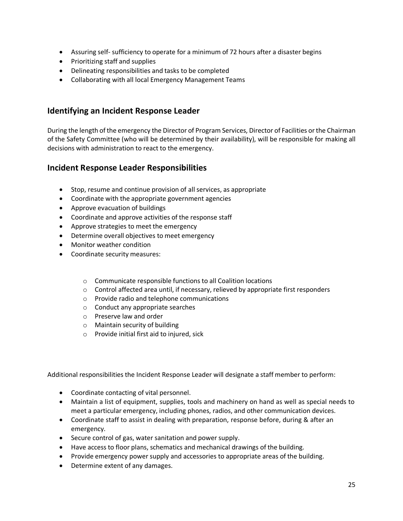- Assuring self- sufficiency to operate for a minimum of 72 hours after a disaster begins
- Prioritizing staff and supplies
- Delineating responsibilities and tasks to be completed
- Collaborating with all local Emergency Management Teams

## **Identifying an Incident Response Leader**

During the length of the emergency the Director of Program Services, Director of Facilities orthe Chairman of the Safety Committee (who will be determined by their availability), will be responsible for making all decisions with administration to react to the emergency.

### **Incident Response Leader Responsibilities**

- Stop, resume and continue provision of all services, as appropriate
- Coordinate with the appropriate government agencies
- Approve evacuation of buildings
- Coordinate and approve activities of the response staff
- Approve strategies to meet the emergency
- Determine overall objectives to meet emergency
- Monitor weather condition
- Coordinate security measures:
	- o Communicate responsible functions to all Coalition locations
	- $\circ$  Control affected area until, if necessary, relieved by appropriate first responders
	- o Provide radio and telephone communications
	- o Conduct any appropriate searches
	- o Preserve law and order
	- o Maintain security of building
	- o Provide initial first aid to injured, sick

Additional responsibilities the Incident Response Leader will designate a staff member to perform:

- Coordinate contacting of vital personnel.
- Maintain a list of equipment, supplies, tools and machinery on hand as well as special needs to meet a particular emergency, including phones, radios, and other communication devices.
- Coordinate staff to assist in dealing with preparation, response before, during & after an emergency.
- Secure control of gas, water sanitation and power supply.
- Have access to floor plans, schematics and mechanical drawings of the building.
- Provide emergency power supply and accessories to appropriate areas of the building.
- Determine extent of any damages.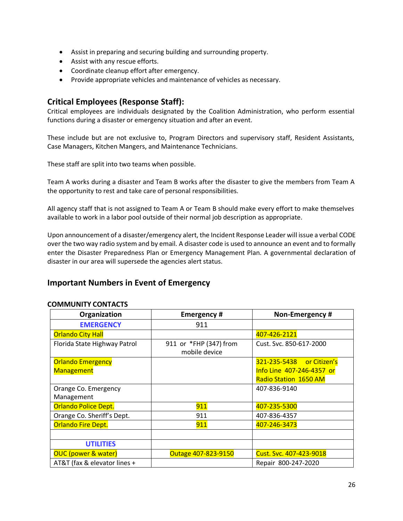- Assist in preparing and securing building and surrounding property.
- Assist with any rescue efforts.
- Coordinate cleanup effort after emergency.
- Provide appropriate vehicles and maintenance of vehicles as necessary.

### **Critical Employees (Response Staff):**

Critical employees are individuals designated by the Coalition Administration, who perform essential functions during a disaster or emergency situation and after an event.

These include but are not exclusive to, Program Directors and supervisory staff, Resident Assistants, Case Managers, Kitchen Mangers, and Maintenance Technicians.

These staff are split into two teams when possible.

Team A works during a disaster and Team B works after the disaster to give the members from Team A the opportunity to rest and take care of personal responsibilities.

All agency staff that is not assigned to Team A or Team B should make every effort to make themselves available to work in a labor pool outside of their normal job description as appropriate.

Upon announcement of a disaster/emergency alert, the Incident Response Leader will issue a verbal CODE over the two way radio system and by email. A disaster code is used to announce an event and to formally enter the Disaster Preparedness Plan or Emergency Management Plan. A governmental declaration of disaster in our area will supersede the agencies alert status.

### **Important Numbers in Event of Emergency**

#### **COMMUNITY CONTACTS**

| Organization                   | <b>Emergency#</b>                       | Non-Emergency #              |
|--------------------------------|-----------------------------------------|------------------------------|
| <b>EMERGENCY</b>               | 911                                     |                              |
| <b>Orlando City Hall</b>       |                                         | 407-426-2121                 |
| Florida State Highway Patrol   | 911 or *FHP (347) from<br>mobile device | Cust. Svc. 850-617-2000      |
| <b>Orlando Emergency</b>       |                                         | 321-235-5438 or Citizen's    |
| <b>Management</b>              |                                         | Info Line 407-246-4357 or    |
|                                |                                         | <b>Radio Station 1650 AM</b> |
| Orange Co. Emergency           |                                         | 407-836-9140                 |
| Management                     |                                         |                              |
| <b>Orlando Police Dept.</b>    | 911                                     | 407-235-5300                 |
| Orange Co. Sheriff's Dept.     | 911                                     | 407-836-4357                 |
| <b>Orlando Fire Dept.</b>      | 911                                     | 407-246-3473                 |
|                                |                                         |                              |
| <b>UTILITIES</b>               |                                         |                              |
| <b>OUC (power &amp; water)</b> | Outage 407-823-9150                     | Cust. Svc. 407-423-9018      |
| AT&T (fax & elevator lines +   |                                         | Repair 800-247-2020          |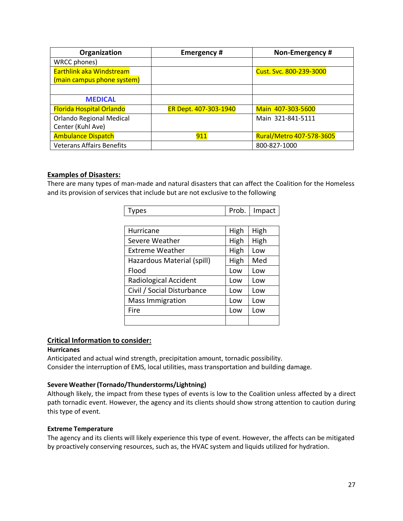| Organization                     | <b>Emergency#</b>     | Non-Emergency #          |
|----------------------------------|-----------------------|--------------------------|
| WRCC phones)                     |                       |                          |
| <b>Earthlink aka Windstream</b>  |                       | Cust. Svc. 800-239-3000  |
| (main campus phone system)       |                       |                          |
|                                  |                       |                          |
| <b>MEDICAL</b>                   |                       |                          |
| <b>Florida Hospital Orlando</b>  | ER Dept. 407-303-1940 | Main 407-303-5600        |
| <b>Orlando Regional Medical</b>  |                       | Main 321-841-5111        |
| Center (Kuhl Ave)                |                       |                          |
| <b>Ambulance Dispatch</b>        | 911                   | Rural/Metro 407-578-3605 |
| <b>Veterans Affairs Benefits</b> |                       | 800-827-1000             |

#### **Examples of Disasters:**

There are many types of man-made and natural disasters that can affect the Coalition for the Homeless and its provision of services that include but are not exclusive to the following

| Types                      | Prob. | Impact |
|----------------------------|-------|--------|
|                            |       |        |
| Hurricane                  | High  | High   |
| Severe Weather             | High  | High   |
| <b>Extreme Weather</b>     | High  | Low    |
| Hazardous Material (spill) | High  | Med    |
| Flood                      | Low   | Low    |
| Radiological Accident      | Low   | Low    |
| Civil / Social Disturbance | Low   | Low    |
| <b>Mass Immigration</b>    | Low   | Low    |
| Fire                       | Low   | Low    |
|                            |       |        |

### **Critical Information to consider:**

#### **Hurricanes**

Anticipated and actual wind strength, precipitation amount, tornadic possibility. Consider the interruption of EMS, local utilities, mass transportation and building damage.

#### **Severe Weather(Tornado/Thunderstorms/Lightning)**

Although likely, the impact from these types of events is low to the Coalition unless affected by a direct path tornadic event. However, the agency and its clients should show strong attention to caution during this type of event.

#### **Extreme Temperature**

The agency and its clients will likely experience this type of event. However, the affects can be mitigated by proactively conserving resources, such as, the HVAC system and liquids utilized for hydration.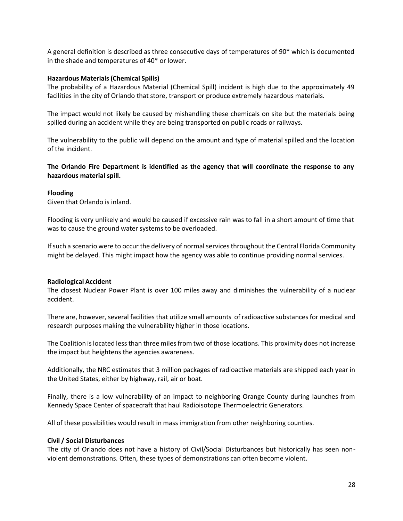A general definition is described as three consecutive days of temperatures of 90\* which is documented in the shade and temperatures of 40\* or lower.

#### **Hazardous Materials(Chemical Spills)**

The probability of a Hazardous Material (Chemical Spill) incident is high due to the approximately 49 facilities in the city of Orlando that store, transport or produce extremely hazardous materials.

The impact would not likely be caused by mishandling these chemicals on site but the materials being spilled during an accident while they are being transported on public roads or railways.

The vulnerability to the public will depend on the amount and type of material spilled and the location of the incident.

#### **The Orlando Fire Department is identified as the agency that will coordinate the response to any hazardous material spill.**

#### **Flooding**

Given that Orlando is inland.

Flooding is very unlikely and would be caused if excessive rain was to fall in a short amount of time that was to cause the ground water systems to be overloaded.

Ifsuch a scenario were to occur the delivery of normalservicesthroughout the Central Florida Community might be delayed. This might impact how the agency was able to continue providing normal services.

#### **Radiological Accident**

The closest Nuclear Power Plant is over 100 miles away and diminishes the vulnerability of a nuclear accident.

There are, however, several facilities that utilize small amounts of radioactive substances for medical and research purposes making the vulnerability higher in those locations.

The Coalition is located less than three miles from two of those locations. This proximity does not increase the impact but heightens the agencies awareness.

Additionally, the NRC estimates that 3 million packages of radioactive materials are shipped each year in the United States, either by highway, rail, air or boat.

Finally, there is a low vulnerability of an impact to neighboring Orange County during launches from Kennedy Space Center of spacecraft that haul Radioisotope Thermoelectric Generators.

All of these possibilities would result in mass immigration from other neighboring counties.

#### **Civil / Social Disturbances**

The city of Orlando does not have a history of Civil/Social Disturbances but historically has seen nonviolent demonstrations. Often, these types of demonstrations can often become violent.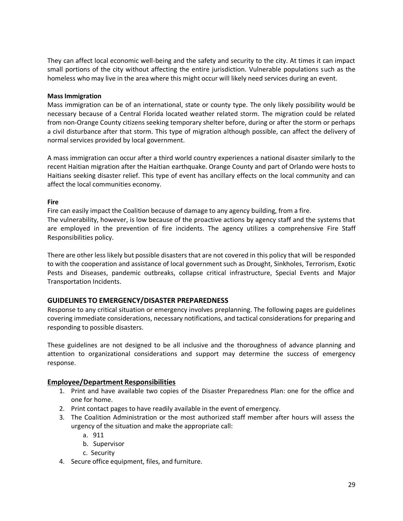They can affect local economic well-being and the safety and security to the city. At times it can impact small portions of the city without affecting the entire jurisdiction. Vulnerable populations such as the homeless who may live in the area where this might occur will likely need services during an event.

#### **MassImmigration**

Mass immigration can be of an international, state or county type. The only likely possibility would be necessary because of a Central Florida located weather related storm. The migration could be related from non-Orange County citizens seeking temporary shelter before, during or after the storm or perhaps a civil disturbance after that storm. This type of migration although possible, can affect the delivery of normal services provided by local government.

A mass immigration can occur after a third world country experiences a national disaster similarly to the recent Haitian migration after the Haitian earthquake. Orange County and part of Orlando were hosts to Haitians seeking disaster relief. This type of event has ancillary effects on the local community and can affect the local communities economy.

#### **Fire**

Fire can easily impact the Coalition because of damage to any agency building, from a fire. The vulnerability, however, is low because of the proactive actions by agency staff and the systems that are employed in the prevention of fire incidents. The agency utilizes a comprehensive Fire Staff Responsibilities policy.

There are other less likely but possible disasters that are not covered in this policy that will be responded to with the cooperation and assistance of local government such as Drought, Sinkholes, Terrorism, Exotic Pests and Diseases, pandemic outbreaks, collapse critical infrastructure, Special Events and Major Transportation Incidents.

### **GUIDELINES TO EMERGENCY/DISASTER PREPAREDNESS**

Response to any critical situation or emergency involves preplanning. The following pages are guidelines covering immediate considerations, necessary notifications, and tactical considerations for preparing and responding to possible disasters.

These guidelines are not designed to be all inclusive and the thoroughness of advance planning and attention to organizational considerations and support may determine the success of emergency response.

### **Employee/Department Responsibilities**

- 1. Print and have available two copies of the Disaster Preparedness Plan: one for the office and one for home.
- 2. Print contact pages to have readily available in the event of emergency.
- 3. The Coalition Administration or the most authorized staff member after hours will assess the urgency of the situation and make the appropriate call:
	- a. 911
	- b. Supervisor
	- c. Security
- 4. Secure office equipment, files, and furniture.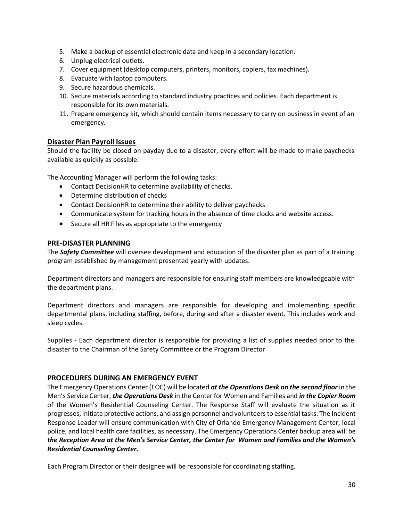- 5. Make a backup of essential electronic data and keep in a secondary location.
- 6. Unplug electrical outlets.
- 7. Cover equipment (desktop computers, printers, monitors, copiers, fax machines).
- 8. Evacuate with laptop computers.
- 9. Secure hazardous chemicals.
- 10. Secure materials according to standard industry practices and policies. Each department is responsible for its own materials.
- 11. Prepare emergency kit, which should contain items necessary to carry on business in event of an emergency.

#### **Disaster Plan Payroll Issues**

Should the facility be closed on payday due to a disaster, every effort will be made to make paychecks available as quickly as possible.

The Accounting Manager will perform the following tasks:

- Contact DecisionHR to determine availability of checks.
- Determine distribution of checks
- Contact DecisionHR to determine their ability to deliver paychecks
- Communicate system for tracking hours in the absence of time clocks and website access.
- Secure all HR Files as appropriate to the emergency

#### **PRE-DISASTER PLANNING**

The *Safety Committee* will oversee development and education of the disaster plan as part of a training program established by management presented yearly with updates.

Department directors and managers are responsible for ensuring staff members are knowledgeable with the department plans.

Department directors and managers are responsible for developing and implementing specific departmental plans, including staffing, before, during and after a disaster event. This includes work and sleep cycles.

Supplies - Each department director is responsible for providing a list of supplies needed prior to the disaster to the Chairman of the Safety Committee or the Program Director

#### **PROCEDURES DURING AN EMERGENCY EVENT**

The Emergency Operations Center (EOC) will be located *at the Operations Desk on the second floor* in the Men's Service Center, *the Operations Desk* in the Center for Women and Families and *in the Copier Room*  of the Women's Residential Counseling Center. The Response Staff will evaluate the situation as it progresses, initiate protective actions, and assign personnel and volunteers to essential tasks. The Incident Response Leader will ensure communication with City of Orlando Emergency Management Center, local police, and local health care facilities, as necessary. The Emergency Operations Center backup area will be *the Reception Area at the Men's Service Center, the Center for Women and Families and the Women's Residential Counseling Center.*

Each Program Director or their designee will be responsible for coordinating staffing.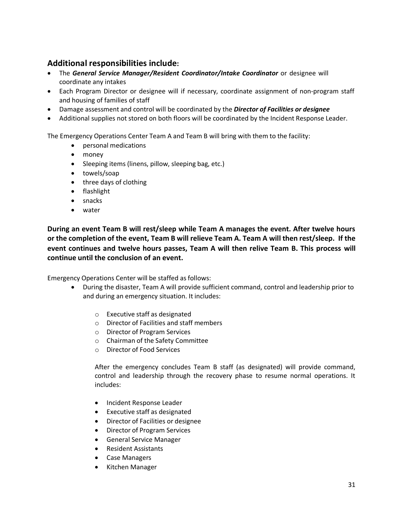## **Additional responsibilities include:**

- The *General Service Manager/Resident Coordinator/Intake Coordinator* or designee will coordinate any intakes
- Each Program Director or designee will if necessary, coordinate assignment of non-program staff and housing of families of staff
- Damage assessment and control will be coordinated by the *Director of Facilities or designee*
- Additional supplies not stored on both floors will be coordinated by the Incident Response Leader.

The Emergency Operations Center Team A and Team B will bring with them to the facility:

- personal medications
- money
- Sleeping items (linens, pillow, sleeping bag, etc.)
- towels/soap
- three days of clothing
- flashlight
- snacks
- water

**During an event Team B will rest/sleep while Team A manages the event. After twelve hours or the completion of the event, Team B will relieve Team A. Team A will then rest/sleep. If the event continues and twelve hours passes, Team A will then relive Team B. This process will continue until the conclusion of an event.**

Emergency Operations Center will be staffed as follows:

- During the disaster, Team A will provide sufficient command, control and leadership prior to and during an emergency situation. It includes:
	- o Executive staff as designated
	- o Director of Facilities and staff members
	- o Director of Program Services
	- o Chairman of the Safety Committee
	- o Director of Food Services

After the emergency concludes Team B staff (as designated) will provide command, control and leadership through the recovery phase to resume normal operations. It includes:

- Incident Response Leader
- Executive staff as designated
- Director of Facilities or designee
- Director of Program Services
- General Service Manager
- Resident Assistants
- Case Managers
- Kitchen Manager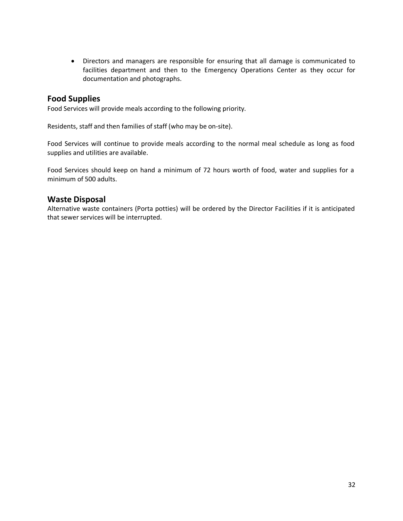• Directors and managers are responsible for ensuring that all damage is communicated to facilities department and then to the Emergency Operations Center as they occur for documentation and photographs.

### **Food Supplies**

Food Services will provide meals according to the following priority.

Residents, staff and then families of staff (who may be on-site).

Food Services will continue to provide meals according to the normal meal schedule as long as food supplies and utilities are available.

Food Services should keep on hand a minimum of 72 hours worth of food, water and supplies for a minimum of 500 adults.

### **Waste Disposal**

Alternative waste containers (Porta potties) will be ordered by the Director Facilities if it is anticipated that sewer services will be interrupted.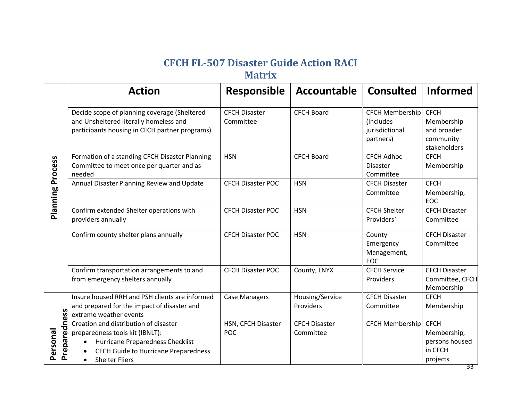# **CFCH FL-507 Disaster Guide Action RACI**

# **Matrix**

<span id="page-32-0"></span>

|                              | <b>Action</b>                                                                                                                                                                              | <b>Responsible</b>                | Accountable                       | <b>Consulted</b>                                                           | <b>Informed</b>                                                       |
|------------------------------|--------------------------------------------------------------------------------------------------------------------------------------------------------------------------------------------|-----------------------------------|-----------------------------------|----------------------------------------------------------------------------|-----------------------------------------------------------------------|
| <b>Planning Process</b>      | Decide scope of planning coverage (Sheltered<br>and Unsheltered literally homeless and<br>participants housing in CFCH partner programs)                                                   | <b>CFCH Disaster</b><br>Committee | <b>CFCH Board</b>                 | <b>CFCH Membership</b><br><i>(includes)</i><br>jurisdictional<br>partners) | <b>CFCH</b><br>Membership<br>and broader<br>community<br>stakeholders |
|                              | Formation of a standing CFCH Disaster Planning<br>Committee to meet once per quarter and as<br>needed                                                                                      | <b>HSN</b>                        | <b>CFCH Board</b>                 | <b>CFCH Adhoc</b><br><b>Disaster</b><br>Committee                          | <b>CFCH</b><br>Membership                                             |
|                              | Annual Disaster Planning Review and Update                                                                                                                                                 | <b>CFCH Disaster POC</b>          | <b>HSN</b>                        | <b>CFCH Disaster</b><br>Committee                                          | <b>CFCH</b><br>Membership,<br><b>EOC</b>                              |
|                              | Confirm extended Shelter operations with<br>providers annually                                                                                                                             | <b>CFCH Disaster POC</b>          | <b>HSN</b>                        | <b>CFCH Shelter</b><br>Providers'                                          | <b>CFCH Disaster</b><br>Committee                                     |
|                              | Confirm county shelter plans annually                                                                                                                                                      | <b>CFCH Disaster POC</b>          | <b>HSN</b>                        | County<br>Emergency<br>Management,<br>EOC                                  | <b>CFCH Disaster</b><br>Committee                                     |
|                              | Confirm transportation arrangements to and<br>from emergency shelters annually                                                                                                             | <b>CFCH Disaster POC</b>          | County, LNYX                      | <b>CFCH Service</b><br>Providers                                           | <b>CFCH Disaster</b><br>Committee, CFCH<br>Membership                 |
| <b>Preparedn</b><br>Personal | Insure housed RRH and PSH clients are informed<br>and prepared for the impact of disaster and<br>extreme weather events                                                                    | <b>Case Managers</b>              | Housing/Service<br>Providers      | <b>CFCH Disaster</b><br>Committee                                          | <b>CFCH</b><br>Membership                                             |
|                              | Creation and distribution of disaster<br>preparedness tools kit (IBNLT):<br>Hurricane Preparedness Checklist<br>CFCH Guide to Hurricane Preparedness<br>$\bullet$<br><b>Shelter Fliers</b> | HSN, CFCH Disaster<br><b>POC</b>  | <b>CFCH Disaster</b><br>Committee | <b>CFCH Membership</b>                                                     | <b>CFCH</b><br>Membership,<br>persons housed<br>in CFCH<br>projects   |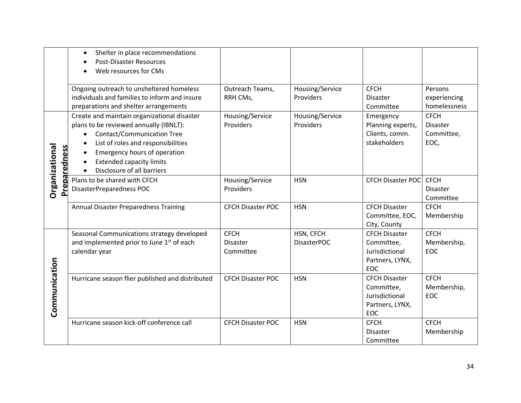|                                    | Shelter in place recommendations<br>$\bullet$<br><b>Post-Disaster Resources</b><br>Web resources for CMs                                                                                                                                                                       |                                             |                                 |                                                                                       |                                                      |
|------------------------------------|--------------------------------------------------------------------------------------------------------------------------------------------------------------------------------------------------------------------------------------------------------------------------------|---------------------------------------------|---------------------------------|---------------------------------------------------------------------------------------|------------------------------------------------------|
|                                    | Ongoing outreach to unsheltered homeless<br>individuals and families to inform and insure<br>preparations and shelter arrangements                                                                                                                                             | Outreach Teams,<br>RRH CMs,                 | Housing/Service<br>Providers    | <b>CFCH</b><br>Disaster<br>Committee                                                  | Persons<br>experiencing<br>homelessness              |
| eparedness<br><b>Organizationa</b> | Create and maintain organizational disaster<br>plans to be reviewed annually (IBNLT):<br><b>Contact/Communication Tree</b><br>List of roles and responsibilities<br>Emergency hours of operation<br>$\bullet$<br><b>Extended capacity limits</b><br>Disclosure of all barriers | Housing/Service<br>Providers                | Housing/Service<br>Providers    | Emergency<br>Planning experts,<br>Clients, comm.<br>stakeholders                      | <b>CFCH</b><br><b>Disaster</b><br>Committee,<br>EOC, |
| ۴ă                                 | Plans to be shared with CFCH<br>DisasterPreparedness POC                                                                                                                                                                                                                       | Housing/Service<br>Providers                | <b>HSN</b>                      | <b>CFCH Disaster POC</b>                                                              | <b>CFCH</b><br><b>Disaster</b><br>Committee          |
|                                    | <b>Annual Disaster Preparedness Training</b>                                                                                                                                                                                                                                   | <b>CFCH Disaster POC</b>                    | <b>HSN</b>                      | <b>CFCH Disaster</b><br>Committee, EOC,<br>City, County                               | <b>CFCH</b><br>Membership                            |
|                                    | Seasonal Communications strategy developed<br>and implemented prior to June 1st of each<br>calendar year                                                                                                                                                                       | <b>CFCH</b><br><b>Disaster</b><br>Committee | HSN, CFCH<br><b>DisasterPOC</b> | <b>CFCH Disaster</b><br>Committee,<br>Jurisdictional<br>Partners, LYNX,<br><b>EOC</b> | <b>CFCH</b><br>Membership,<br>EOC                    |
| Communication                      | Hurricane season flier published and distributed                                                                                                                                                                                                                               | <b>CFCH Disaster POC</b>                    | <b>HSN</b>                      | <b>CFCH Disaster</b><br>Committee,<br>Jurisdictional<br>Partners, LYNX,<br>EOC        | <b>CFCH</b><br>Membership,<br>EOC                    |
|                                    | Hurricane season kick-off conference call                                                                                                                                                                                                                                      | <b>CFCH Disaster POC</b>                    | <b>HSN</b>                      | <b>CFCH</b><br><b>Disaster</b><br>Committee                                           | <b>CFCH</b><br>Membership                            |